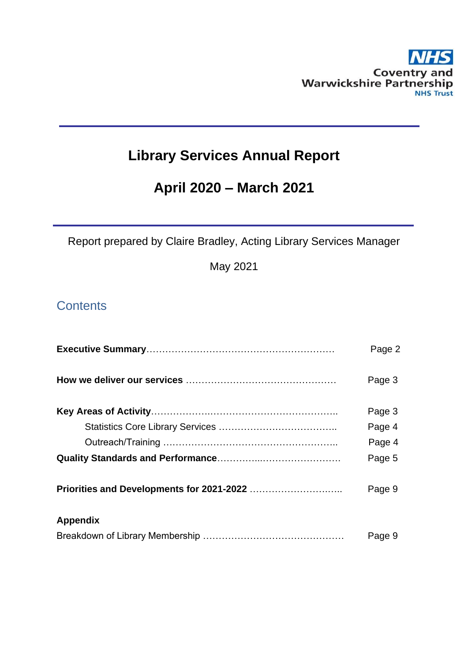

# **Library Services Annual Report**

# **April 2020 – March 2021**

Report prepared by Claire Bradley, Acting Library Services Manager

May 2021

# **Contents**

|                 | Page 2 |
|-----------------|--------|
|                 | Page 3 |
|                 | Page 3 |
|                 | Page 4 |
|                 | Page 4 |
|                 | Page 5 |
|                 | Page 9 |
| <b>Appendix</b> |        |
|                 | Page 9 |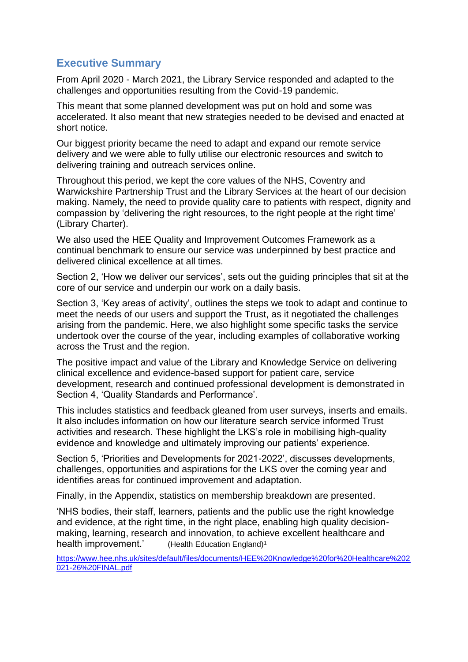# **Executive Summary**

From April 2020 - March 2021, the Library Service responded and adapted to the challenges and opportunities resulting from the Covid-19 pandemic.

This meant that some planned development was put on hold and some was accelerated. It also meant that new strategies needed to be devised and enacted at short notice.

Our biggest priority became the need to adapt and expand our remote service delivery and we were able to fully utilise our electronic resources and switch to delivering training and outreach services online.

Throughout this period, we kept the core values of the NHS, Coventry and Warwickshire Partnership Trust and the Library Services at the heart of our decision making. Namely, the need to provide quality care to patients with respect, dignity and compassion by 'delivering the right resources, to the right people at the right time' (Library Charter).

We also used the HEE Quality and Improvement Outcomes Framework as a continual benchmark to ensure our service was underpinned by best practice and delivered clinical excellence at all times.

Section 2, 'How we deliver our services', sets out the guiding principles that sit at the core of our service and underpin our work on a daily basis.

Section 3, 'Key areas of activity', outlines the steps we took to adapt and continue to meet the needs of our users and support the Trust, as it negotiated the challenges arising from the pandemic. Here, we also highlight some specific tasks the service undertook over the course of the year, including examples of collaborative working across the Trust and the region.

The positive impact and value of the Library and Knowledge Service on delivering clinical excellence and evidence-based support for patient care, service development, research and continued professional development is demonstrated in Section 4, 'Quality Standards and Performance'.

This includes statistics and feedback gleaned from user surveys, inserts and emails. It also includes information on how our literature search service informed Trust activities and research. These highlight the LKS's role in mobilising high-quality evidence and knowledge and ultimately improving our patients' experience.

Section 5, 'Priorities and Developments for 2021-2022', discusses developments, challenges, opportunities and aspirations for the LKS over the coming year and identifies areas for continued improvement and adaptation.

Finally, in the Appendix, statistics on membership breakdown are presented.

'NHS bodies, their staff, learners, patients and the public use the right knowledge and evidence, at the right time, in the right place, enabling high quality decisionmaking, learning, research and innovation, to achieve excellent healthcare and health improvement.' (Health Education England)<sup>1</sup>

[https://www.hee.nhs.uk/sites/default/files/documents/HEE%20Knowledge%20for%20Healthcare%202](https://www.hee.nhs.uk/sites/default/files/documents/HEE%20Knowledge%20for%20Healthcare%202021-26%20FINAL.pdf) [021-26%20FINAL.pdf](https://www.hee.nhs.uk/sites/default/files/documents/HEE%20Knowledge%20for%20Healthcare%202021-26%20FINAL.pdf)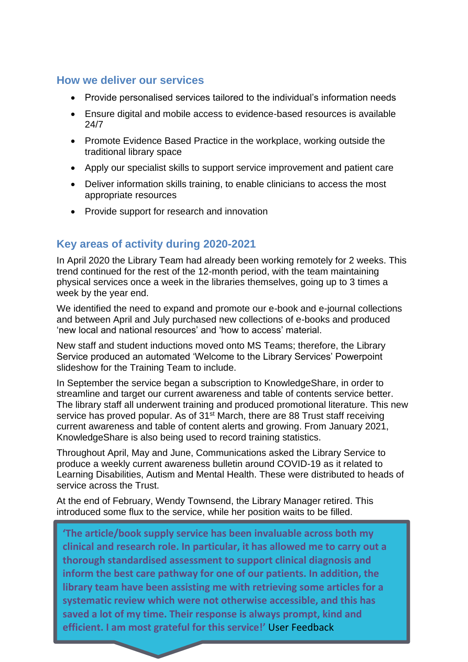# **How we deliver our services**

- Provide personalised services tailored to the individual's information needs
- Ensure digital and mobile access to evidence-based resources is available 24/7
- Promote Evidence Based Practice in the workplace, working outside the traditional library space
- Apply our specialist skills to support service improvement and patient care
- Deliver information skills training, to enable clinicians to access the most appropriate resources
- Provide support for research and innovation

# **Key areas of activity during 2020-2021**

In April 2020 the Library Team had already been working remotely for 2 weeks. This trend continued for the rest of the 12-month period, with the team maintaining physical services once a week in the libraries themselves, going up to 3 times a week by the year end.

We identified the need to expand and promote our e-book and e-journal collections and between April and July purchased new collections of e-books and produced 'new local and national resources' and 'how to access' material.

New staff and student inductions moved onto MS Teams; therefore, the Library Service produced an automated 'Welcome to the Library Services' Powerpoint slideshow for the Training Team to include.

In September the service began a subscription to KnowledgeShare, in order to streamline and target our current awareness and table of contents service better. The library staff all underwent training and produced promotional literature. This new service has proved popular. As of 31<sup>st</sup> March, there are 88 Trust staff receiving current awareness and table of content alerts and growing. From January 2021, KnowledgeShare is also being used to record training statistics.

Throughout April, May and June, Communications asked the Library Service to produce a weekly current awareness bulletin around COVID-19 as it related to Learning Disabilities, Autism and Mental Health. These were distributed to heads of service across the Trust.

At the end of February, Wendy Townsend, the Library Manager retired. This introduced some flux to the service, while her position waits to be filled.

**'The article/book supply service has been invaluable across both my clinical and research role. In particular, it has allowed me to carry out a thorough standardised assessment to support clinical diagnosis and inform the best care pathway for one of our patients. In addition, the library team have been assisting me with retrieving some articles for a systematic review which were not otherwise accessible, and this has saved a lot of my time. Their response is always prompt, kind and efficient. I am most grateful for this service!'** User Feedback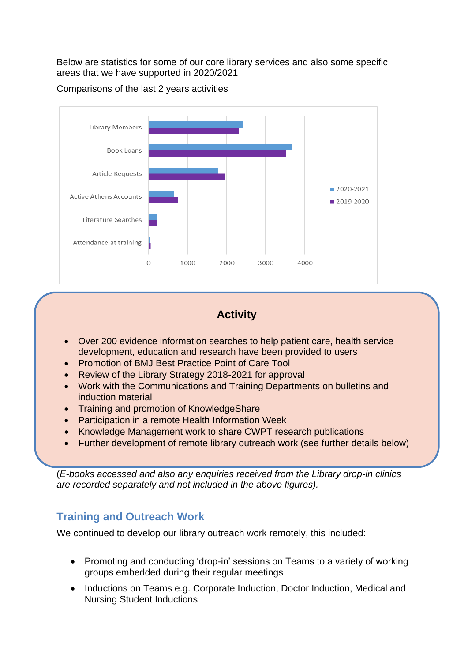Below are statistics for some of our core library services and also some specific areas that we have supported in 2020/2021





# **Activity**

- Over 200 evidence information searches to help patient care, health service development, education and research have been provided to users
- Promotion of BMJ Best Practice Point of Care Tool
- Review of the Library Strategy 2018-2021 for approval
- Work with the Communications and Training Departments on bulletins and induction material
- Training and promotion of KnowledgeShare
- Participation in a remote Health Information Week
- Knowledge Management work to share CWPT research publications
- Further development of remote library outreach work (see further details below)

(*E-books accessed and also any* e*nquiries received from the Library drop-in clinics are recorded separately and not included in the above figures).*

# **Training and Outreach Work**

We continued to develop our library outreach work remotely, this included:

- Promoting and conducting 'drop-in' sessions on Teams to a variety of working groups embedded during their regular meetings
- Inductions on Teams e.g. Corporate Induction, Doctor Induction, Medical and Nursing Student Inductions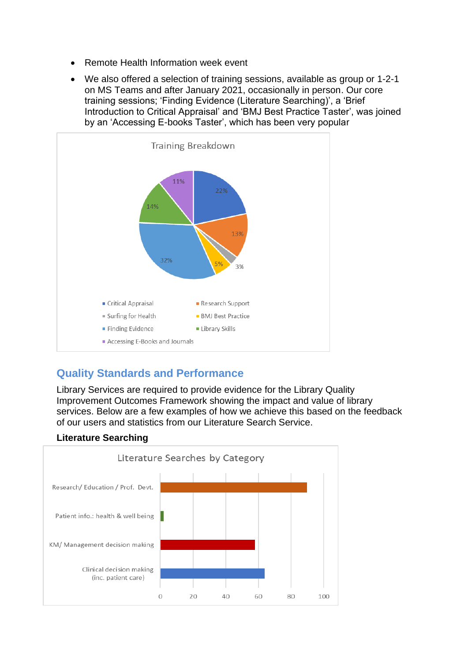- Remote Health Information week event
- We also offered a selection of training sessions, available as group or 1-2-1 on MS Teams and after January 2021, occasionally in person. Our core training sessions; 'Finding Evidence (Literature Searching)', a 'Brief Introduction to Critical Appraisal' and 'BMJ Best Practice Taster', was joined by an 'Accessing E-books Taster', which has been very popular



# **Quality Standards and Performance**

Library Services are required to provide evidence for the Library Quality Improvement Outcomes Framework showing the impact and value of library services. Below are a few examples of how we achieve this based on the feedback of our users and statistics from our Literature Search Service.

## **Literature Searching**

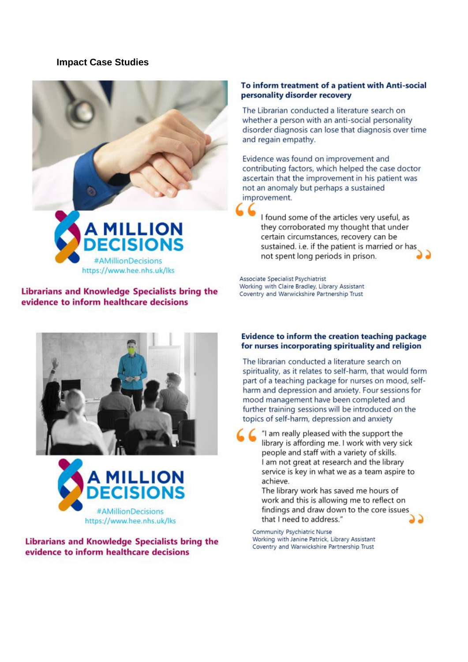### **Impact Case Studies**



### Librarians and Knowledge Specialists bring the evidence to inform healthcare decisions





Librarians and Knowledge Specialists bring the evidence to inform healthcare decisions

#### To inform treatment of a patient with Anti-social personality disorder recovery

The Librarian conducted a literature search on whether a person with an anti-social personality disorder diagnosis can lose that diagnosis over time and regain empathy.

Evidence was found on improvement and contributing factors, which helped the case doctor ascertain that the improvement in his patient was not an anomaly but perhaps a sustained improvement.

I found some of the articles very useful, as they corroborated my thought that under certain circumstances, recovery can be sustained. i.e. if the patient is married or has not spent long periods in prison.

Associate Specialist Psychiatrist Working with Claire Bradley, Library Assistant Coventry and Warwickshire Partnership Trust

#### Evidence to inform the creation teaching package for nurses incorporating spirituality and religion

The librarian conducted a literature search on spirituality, as it relates to self-harm, that would form part of a teaching package for nurses on mood, selfharm and depression and anxiety. Four sessions for mood management have been completed and further training sessions will be introduced on the topics of self-harm, depression and anxiety

"I am really pleased with the support the library is affording me. I work with very sick people and staff with a variety of skills. I am not great at research and the library service is key in what we as a team aspire to achieve.

The library work has saved me hours of work and this is allowing me to reflect on findings and draw down to the core issues that I need to address."

Community Psychiatric Nurse Working with Janine Patrick, Library Assistant Coventry and Warwickshire Partnership Trust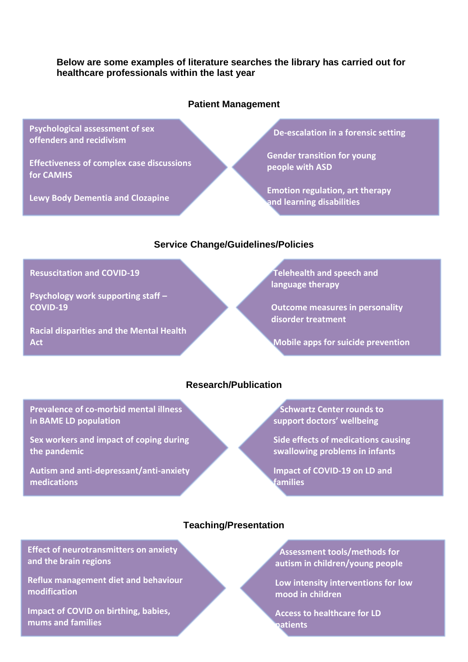### **Below are some examples of literature searches the library has carried out for healthcare professionals within the last year**

### **Patient Management**

**Psychological assessment of sex offenders and recidivism**

**Effectiveness of complex case discussions for CAMHS**

**Lewy Body Dementia and Clozapine**

 **De-escalation in a forensic setting**

**Gender transition for young people with ASD**

**Emotion regulation, art therapy and learning disabilities**

### **Service Change/Guidelines/Policies**

**Resuscitation and COVID-19**

**Psychology work supporting staff – COVID-19**

**Racial disparities and the Mental Health Act**

# **Telehealth and speech and language therapy**

**Outcome measures in personality disorder treatment**

**Mobile apps for suicide prevention**

# **Research/Publication**

**Prevalence of co-morbid mental illness in BAME LD population**

**Sex workers and impact of coping during the pandemic**

**Autism and anti-depressant/anti-anxiety medications**

 **Schwartz Center rounds to support doctors' wellbeing**

**Side effects of medications causing swallowing problems in infants**

**Impact of COVID-19 on LD and families**

## **Teaching/Presentation**

**Effect of neurotransmitters on anxiety and the brain regions**

**Reflux management diet and behaviour modification**

**Impact of COVID on birthing, babies, mums and families**

 **Assessment tools/methods for autism in children/young people**

**Low intensity interventions for low mood in children**

**Access to healthcare for LD patients**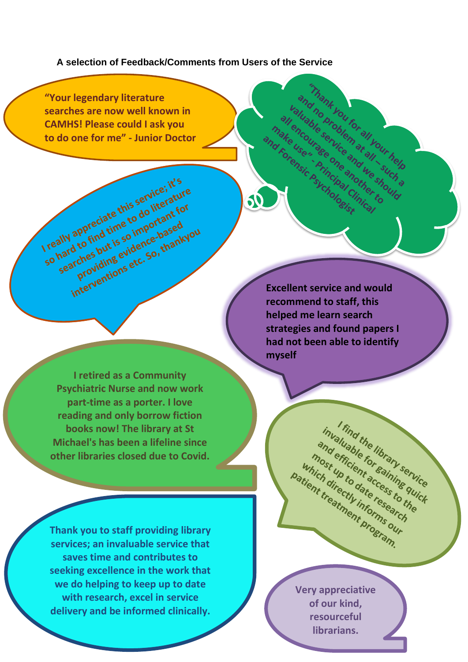**A selection of Feedback/Comments from Users of the Service**

**"Your legendary literature searches are now well known in CAMHS! Please could I ask you to do one for me" - Junior Doctor**

I really appreciate this service; it's<br>I really appreciate this service; it's<br>I really appreciate this so important for so hard to find time to do literature<br>so hard to find time to do literature<br>so hard to find time to important for<br>so hard to find time so important for<br>searches but is so idence based searches but is service, ature<br>ally appreciate this service, ature<br>ally appreciate to do literat for<br>hard to find time so important for<br>searches but is so important your<br>searches but is so thankyo

appreciate the to do trant for<br>appreciate time to do trant for<br>d to find time so importaneed<br>d to funtions etc. So, thank vappreciations to comportant values of the solutions example that the find time evidence based<br>in the find time so important vious<br>arches but is so idence based<br>providing etc. So, thankyou

**Excellent service and would recommend to staff, this helped me learn search strategies and found papers I had not been able to identify myself** 

and nobile four at all such that is the strength of the strength of the strength of the strength of the strength of the strength of the strength of the strength of the strength of the strength of the strength of the streng

make user age one and

50

Thank you for all your help and no problem at your help and mank you for all your help

**I retired as a Community Psychiatric Nurse and now work part-time as a porter. I love reading and only borrow fiction books now! The library at St Michael's has been a lifeline since other libraries closed due to Covid.**

**Thank you to staff providing library services; an invaluable service that saves time and contributes to seeking excellence in the work that we do helping to keep up to date with research, excel in service delivery and be informed clinically.**

**Very appreciative of our kind, resourceful librarians.**

I find the library service invaluable library service invaluable library services to the and efficient of elibrary set most up to date research which directly informs out